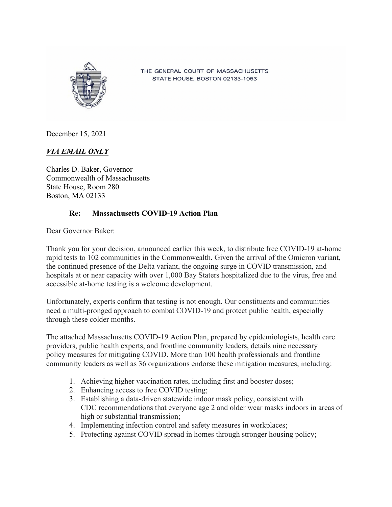

THE GENERAL COURT OF MASSACHUSETTS STATE HOUSE, BOSTON 02133-1053

December 15, 2021

## *VIA EMAIL ONLY*

Charles D. Baker, Governor Commonwealth of Massachusetts State House, Room 280 Boston, MA 02133

## **Re: Massachusetts COVID-19 Action Plan**

Dear Governor Baker:

Thank you for your decision, announced earlier this week, to distribute free COVID-19 at-home rapid tests to 102 communities in the Commonwealth. Given the arrival of the Omicron variant, the continued presence of the Delta variant, the ongoing surge in COVID transmission, and hospitals at or near capacity with over 1,000 Bay Staters hospitalized due to the virus, free and accessible at-home testing is a welcome development.

Unfortunately, experts confirm that testing is not enough. Our constituents and communities need a multi-pronged approach to combat COVID-19 and protect public health, especially through these colder months.

The attached Massachusetts COVID-19 Action Plan, prepared by epidemiologists, health care providers, public health experts, and frontline community leaders, details nine necessary policy measures for mitigating COVID. More than 100 health professionals and frontline community leaders as well as 36 organizations endorse these mitigation measures, including:

- 1. Achieving higher vaccination rates, including first and booster doses;
- 2. Enhancing access to free COVID testing;
- 3. Establishing a data-driven statewide indoor mask policy, consistent with CDC recommendations that everyone age 2 and older wear masks indoors in areas of high or substantial transmission;
- 4. Implementing infection control and safety measures in workplaces;
- 5. Protecting against COVID spread in homes through stronger housing policy;